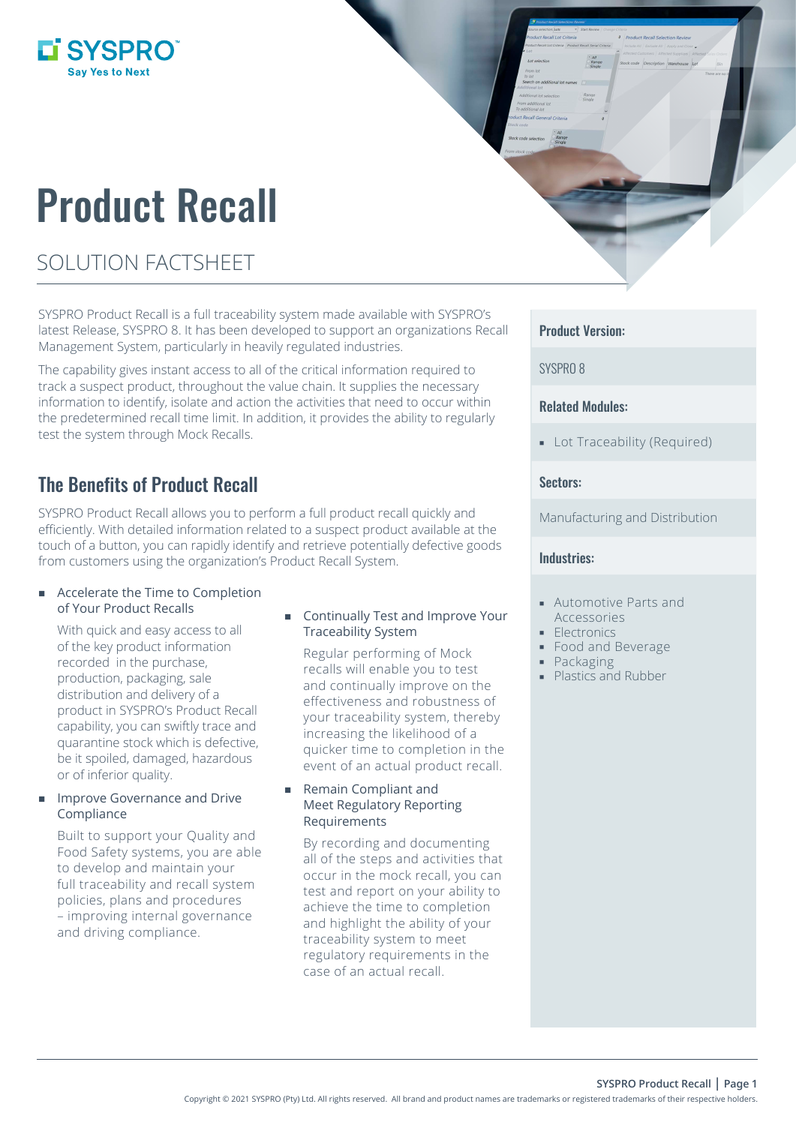# **LI SYSPRO**

# Product Recall

# SOLUTION FACTSHEET

SYSPRO Product Recall is a full traceability system made available with SYSPRO's latest Release, SYSPRO 8. It has been developed to support an organizations Recall Management System, particularly in heavily regulated industries.

The capability gives instant access to all of the critical information required to track a suspect product, throughout the value chain. It supplies the necessary information to identify, isolate and action the activities that need to occur within the predetermined recall time limit. In addition, it provides the ability to regularly test the system through Mock Recalls.

# The Benefits of Product Recall

SYSPRO Product Recall allows you to perform a full product recall quickly and efficiently. With detailed information related to a suspect product available at the touch of a button, you can rapidly identify and retrieve potentially defective goods from customers using the organization's Product Recall System.

#### ■ Accelerate the Time to Completion of Your Product Recalls

With quick and easy access to all of the key product information recorded in the purchase, production, packaging, sale distribution and delivery of a product in SYSPRO's Product Recall capability, you can swiftly trace and quarantine stock which is defective, be it spoiled, damaged, hazardous or of inferior quality.

#### Improve Governance and Drive Compliance

Built to support your Quality and Food Safety systems, you are able to develop and maintain your full traceability and recall system policies, plans and procedures – improving internal governance and driving compliance.

#### **Continually Test and Improve Your** Traceability System

Regular performing of Mock recalls will enable you to test and continually improve on the effectiveness and robustness of your traceability system, thereby increasing the likelihood of a quicker time to completion in the event of an actual product recall.

#### Remain Compliant and Meet Regulatory Reporting Requirements

By recording and documenting all of the steps and activities that occur in the mock recall, you can test and report on your ability to achieve the time to completion and highlight the ability of your traceability system to meet regulatory requirements in the case of an actual recall.

### Product Version:

SYSPRO 8

### Related Modules:

**-** Lot Traceability (Required)

### Sectors:

Manufacturing and Distribution

#### Industries:

- Automotive Parts and Accessories
- **Electronics**
- Food and Beverage
- Packaging
- **Plastics and Rubber**